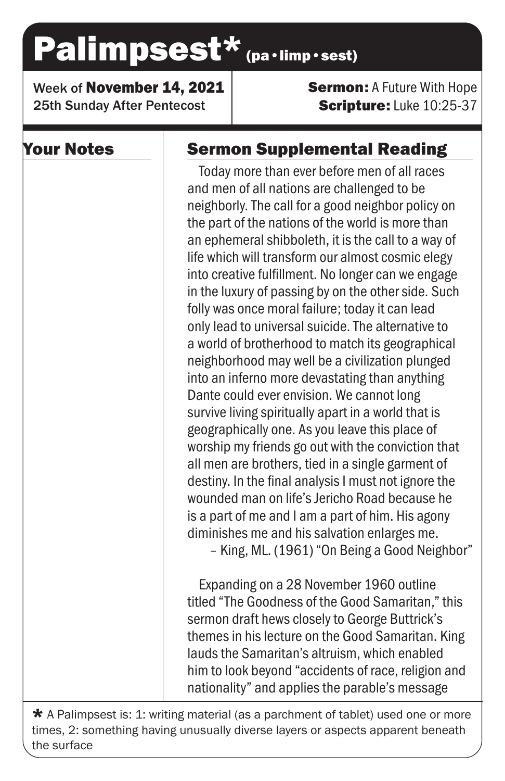# Palimpsest\* (pa·limp·sest)

Week of November 14, 2021 25th Sunday After Pentecost

**Sermon: A Future With Hope** Scripture: Luke 10:25-37

## Your Notes

# Sermon Supplemental Reading

Today more than ever before men of all races and men of all nations are challenged to be neighborly. The call for a good neighbor policy on the part of the nations of the world is more than an ephemeral shibboleth, it is the call to a way of life which will transform our almost cosmic elegy into creative fulfillment. No longer can we engage in the luxury of passing by on the other side. Such folly was once moral failure; today it can lead only lead to universal suicide. The alternative to a world of brotherhood to match its geographical neighborhood may well be a civilization plunged into an inferno more devastating than anything Dante could ever envision. We cannot long survive living spiritually apart in a world that is geographically one. As you leave this place of worship my friends go out with the conviction that all men are brothers, tied in a single garment of destiny. In the final analysis I must not ignore the wounded man on life's Jericho Road because he is a part of me and I am a part of him. His agony diminishes me and his salvation enlarges me. – King, ML. (1961) "On Being a Good Neighbor"

Expanding on a 28 November 1960 outline titled "The Goodness of the Good Samaritan," this sermon draft hews closely to George Buttrick's themes in his lecture on the Good Samaritan. King lauds the Samaritan's altruism, which enabled him to look beyond "accidents of race, religion and nationality" and applies the parable's message

 $\star$  A Palimpsest is: 1: writing material (as a parchment of tablet) used one or more times, 2: something having unusually diverse layers or aspects apparent beneath the surface